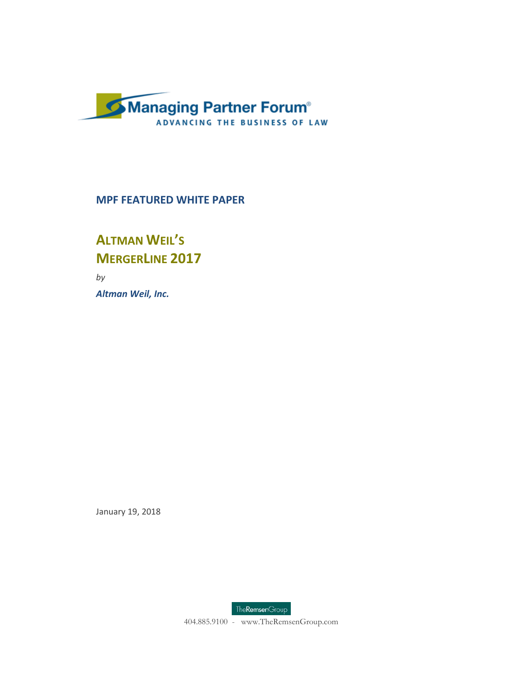

### **MPF FEATURED WHITE PAPER**

### **ALTMAN WEIL'S MERGERLINE 2017**

*by Altman Weil, Inc.*

January 19, 2018



404.885.9100 - www.TheRemsenGroup.com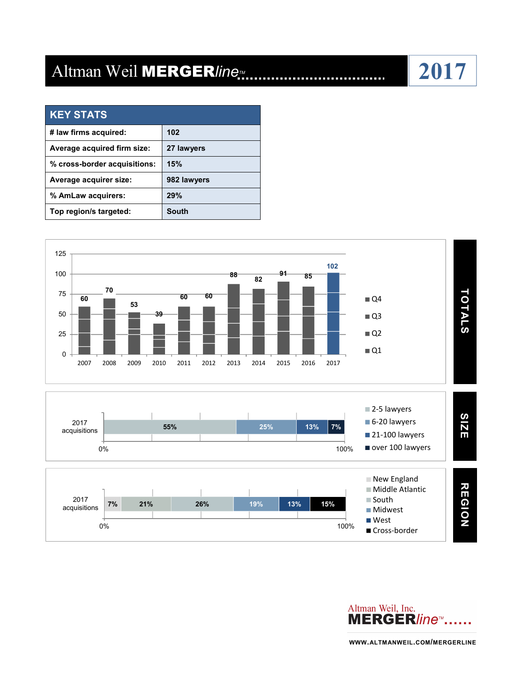## Altman Weil MERGER/ine<sub>*II...*</sub>

| <b>KEY STATS</b>             |             |
|------------------------------|-------------|
| # law firms acquired:        | 102         |
| Average acquired firm size:  | 27 lawyers  |
| % cross-border acquisitions: | 15%         |
| Average acquirer size:       | 982 lawyers |
| % AmLaw acquirers:           | 29%         |
| Top region/s targeted:       | South       |





**WWW.ALTMANWEIL.COM/MERGERLINE**

# **2017**

..................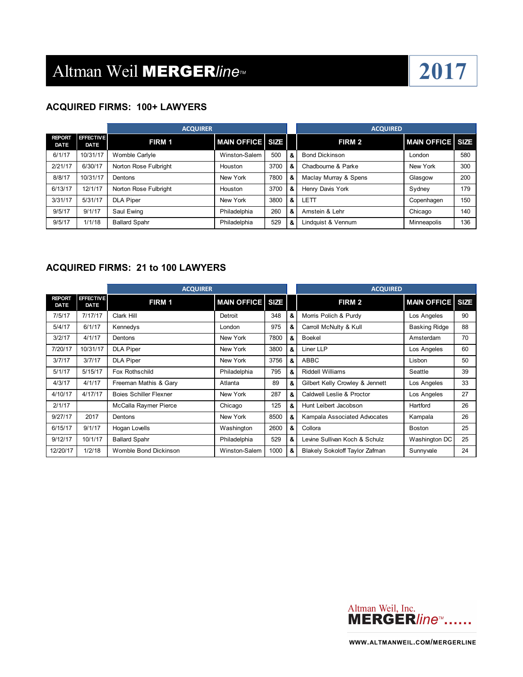

### **ACQUIRED FIRMS: 100+ LAWYERS**

|                              |                                 | <b>ACQUIRER</b>       |                         |      |   | <b>ACQUIRED</b>       |                  |     |
|------------------------------|---------------------------------|-----------------------|-------------------------|------|---|-----------------------|------------------|-----|
| <b>REPORT</b><br><b>DATE</b> | <b>EFFECTIVE</b><br><b>DATE</b> | FIRM 1                | <b>MAIN OFFICE SIZE</b> |      |   | FIRM 2                | MAIN OFFICE SIZE |     |
| 6/1/17                       | 10/31/17                        | Womble Carlyle        | Winston-Salem           | 500  | & | <b>Bond Dickinson</b> | London           | 580 |
| 2/21/17                      | 6/30/17                         | Norton Rose Fulbright | Houston                 | 3700 | & | Chadbourne & Parke    | New York         | 300 |
| 8/8/17                       | 10/31/17                        | Dentons               | New York                | 7800 | & | Maclay Murray & Spens | Glasgow          | 200 |
| 6/13/17                      | 12/1/17                         | Norton Rose Fulbright | Houston                 | 3700 | & | Henry Davis York      | Sydney           | 179 |
| 3/31/17                      | 5/31/17                         | <b>DLA Piper</b>      | New York                | 3800 | & | LETT                  | Copenhagen       | 150 |
| 9/5/17                       | 9/1/17                          | Saul Ewing            | Philadelphia            | 260  | & | Amstein & Lehr        | Chicago          | 140 |
| 9/5/17                       | 1/1/18                          | <b>Ballard Spahr</b>  | Philadelphia            | 529  | & | Lindauist & Vennum    | Minneapolis      | 136 |

### **ACQUIRED FIRMS: 21 to 100 LAWYERS**

|                              |                                 | <b>ACQUIRER</b>               |                         |      |   | <b>ACQUIRED</b>                 |                         |    |
|------------------------------|---------------------------------|-------------------------------|-------------------------|------|---|---------------------------------|-------------------------|----|
| <b>REPORT</b><br><b>DATE</b> | <b>EFFECTIVE</b><br><b>DATE</b> | FIRM 1                        | <b>MAIN OFFICE SIZE</b> |      |   | FIRM 2                          | <b>MAIN OFFICE SIZE</b> |    |
| 7/5/17                       | 7/17/17                         | Clark Hill                    | Detroit                 | 348  | & | Morris Polich & Purdy           | Los Angeles             | 90 |
| 5/4/17                       | 6/1/17                          | Kennedys                      | London                  | 975  | & | Carroll McNulty & Kull          | <b>Basking Ridge</b>    | 88 |
| 3/2/17                       | 4/1/17                          | Dentons                       | New York                | 7800 | & | <b>Boekel</b>                   | Amsterdam               | 70 |
| 7/20/17                      | 10/31/17                        | <b>DLA Piper</b>              | New York                | 3800 | & | Liner LLP                       | Los Angeles             | 60 |
| 3/7/17                       | 3/7/17                          | <b>DLA Piper</b>              | New York                | 3756 | & | ABBC                            | Lisbon                  | 50 |
| 5/1/17                       | 5/15/17                         | Fox Rothschild                | Philadelphia            | 795  | & | <b>Riddell Williams</b>         | Seattle                 | 39 |
| 4/3/17                       | 4/1/17                          | Freeman Mathis & Gary         | Atlanta                 | 89   | & | Gilbert Kelly Crowley & Jennett | Los Angeles             | 33 |
| 4/10/17                      | 4/17/17                         | <b>Boies Schiller Flexner</b> | New York                | 287  | & | Caldwell Leslie & Proctor       | Los Angeles             | 27 |
| 2/1/17                       |                                 | McCalla Raymer Pierce         | Chicago                 | 125  | & | Hunt Leibert Jacobson           | Hartford                | 26 |
| 9/27/17                      | 2017                            | Dentons                       | New York                | 8500 | & | Kampala Associated Advocates    | Kampala                 | 26 |
| 6/15/17                      | 9/1/17                          | Hogan Lovells                 | Washington              | 2600 | & | Collora                         | <b>Boston</b>           | 25 |
| 9/12/17                      | 10/1/17                         | <b>Ballard Spahr</b>          | Philadelphia            | 529  | & | Levine Sullivan Koch & Schulz   | Washington DC           | 25 |
| 12/20/17                     | 1/2/18                          | Womble Bond Dickinson         | Winston-Salem           | 1000 | & | Blakely Sokoloff Taylor Zafman  | Sunnyvale               | 24 |

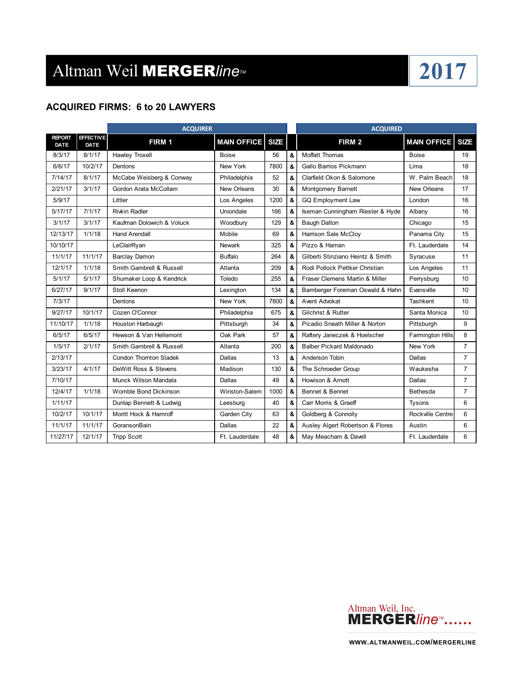### **ACQUIRED FIRMS: 6 to 20 LAWYERS**

|                       |                          | <b>ACQUIRER</b>               |                    |             |   | <b>ACQUIRED</b>                   |                         |                 |
|-----------------------|--------------------------|-------------------------------|--------------------|-------------|---|-----------------------------------|-------------------------|-----------------|
| <b>REPORT</b><br>DATE | <b>EFFECTIVE</b><br>DATE | FIRM 1                        | <b>MAIN OFFICE</b> | <b>SIZE</b> |   | FIRM <sub>2</sub>                 | <b>MAIN OFFICE</b>      | <b>SIZE</b>     |
| 8/3/17                | 8/1/17                   | <b>Hawley Troxell</b>         | <b>Boise</b>       | 56          | & | Moffatt Thomas                    | <b>Boise</b>            | 19              |
| 6/6/17                | 10/2/17                  | Dentons                       | New York           | 7800        | & | Gallo Barrios Pickmann            | Lima                    | 18              |
| 7/14/17               | 8/1/17                   | McCabe Weisberg & Conway      | Philadelphia       | 52          | & | Clarfield Okon & Salomone         | W. Palm Beach           | 18              |
| 2/21/17               | 3/1/17                   | Gordon Arata McCollam         | New Orleans        | 30          | & | Montgomery Barnett                | New Orleans             | 17              |
| 5/9/17                |                          | Littler                       | Los Angeles        | 1200        | & | <b>GQ Employment Law</b>          | London                  | 16              |
| 5/17/17               | 7/1/17                   | <b>Rivkin Radler</b>          | Uniondale          | 166         | & | Iseman Cunningham Riester & Hyde  | Albany                  | 16              |
| 3/1/17                | 3/1/17                   | Kaufman Dolowich & Voluck     | Woodburv           | 129         | & | <b>Baugh Dalton</b>               | Chicago                 | 15              |
| 12/13/17              | 1/1/18                   | <b>Hand Arendall</b>          | Mobile             | 69          | & | Harrison Sale McCloy              | Panama City             | 15              |
| 10/10/17              |                          | LeClairRyan                   | <b>Newark</b>      | 325         | & | Pizzo & Haman                     | Ft. Lauderdale          | 14              |
| 11/1/17               | 11/1/17                  | <b>Barclay Damon</b>          | <b>Buffalo</b>     | 264         | & | Gilberti Stinziano Heintz & Smith | Syracuse                | 11              |
| 12/1/17               | 1/1/18                   | Smith Gambrell & Russell      | Atlanta            | 209         | & | Rodi Pollock Pettker Christian    | Los Angeles             | 11              |
| 5/1/17                | 5/1/17                   | Shumaker Loop & Kendrick      | Toledo             | 255         | & | Fraser Clemens Martin & Miller    | Perrysburg              | 10 <sup>1</sup> |
| 6/27/17               | 9/1/17                   | Stoll Keenon                  | Lexington          | 134         | & | Bamberger Foreman Oswald & Hahn   | Evansville              | 10              |
| 7/3/17                |                          | Dentons                       | New York           | 7800        | & | Avent Advokat                     | Tashkent                | 10              |
| 9/27/17               | 10/1/17                  | Cozen O'Connor                | Philadelphia       | 675         | & | Gilchrist & Rutter                | Santa Monica            | 10              |
| 11/10/17              | 1/1/18                   | Houston Harbaugh              | Pittsburgh         | 34          | & | Picadio Sneath Miller & Norton    | Pittsburgh              | 9               |
| 6/5/17                | 6/5/17                   | Hewson & Van Hellemont        | Oak Park           | 57          | & | Raftery Janeczek & Hoelscher      | <b>Farmington Hills</b> | 8               |
| 1/5/17                | 2/1/17                   | Smith Gambrell & Russell      | Atlanta            | 200         | & | <b>Balber Pickard Maldonado</b>   | New York                | $\overline{7}$  |
| 2/13/17               |                          | <b>Condon Thornton Sladek</b> | Dallas             | 13          | & | Anderson Tobin                    | Dallas                  | $\overline{7}$  |
| 3/23/17               | 4/1/17                   | DeWitt Ross & Stevens         | Madison            | 130         | & | The Schroeder Group               | Waukesha                | $\overline{7}$  |
| 7/10/17               |                          | Munck Wilson Mandala          | Dallas             | 49          | & | Howison & Arnott                  | Dallas                  | $\overline{7}$  |
| 12/4/17               | 1/1/18                   | Womble Bond Dickinson         | Winston-Salem      | 1000        | & | Bennet & Bennet                   | Bethesda                | $\overline{7}$  |
| 1/11/17               |                          | Dunlap Bennett & Ludwig       | Leesburg           | 40          | & | Carr Morris & Graeff              | Tysons                  | 6               |
| 10/2/17               | 10/1/17                  | Moritt Hock & Hamroff         | Garden City        | 63          | & | Goldberg & Connolly               | Rockville Centre        | 6               |
| 11/1/17               | 11/1/17                  | GoransonBain                  | Dallas             | 22          | & | Ausley Algert Robertson & Flores  | Austin                  | 6               |
| 11/27/17              | 12/1/17                  | <b>Tripp Scott</b>            | Ft. Lauderdale     | 48          | & | May Meacham & Davell              | Ft. Lauderdale          | 6               |

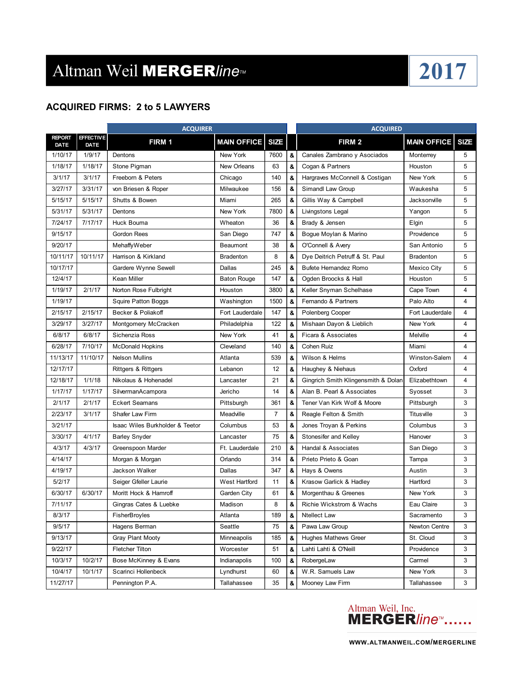### **ACQUIRED FIRMS: 2 to 5 LAWYERS**

|                              |                                 | <b>ACQUIRER</b>                 |                      |                |   | <b>ACQUIRED</b>                     |                    |             |
|------------------------------|---------------------------------|---------------------------------|----------------------|----------------|---|-------------------------------------|--------------------|-------------|
| <b>REPORT</b><br><b>DATE</b> | <b>EFFECTIVE</b><br><b>DATE</b> | FIRM 1                          | <b>MAIN OFFICE</b>   | <b>SIZE</b>    |   | FIRM 2                              | <b>MAIN OFFICE</b> | <b>SIZE</b> |
| 1/10/17                      | 1/9/17                          | Dentons                         | New York             | 7600           | & | Canales Zambrano y Asociados        | Monterrey          | 5           |
| 1/18/17                      | 1/18/17                         | Stone Pigman                    | New Orleans          | 63             | & | Cogan & Partners                    | Houston            | 5           |
| 3/1/17                       | 3/1/17                          | Freeborn & Peters               | Chicago              | 140            | & | Hargraves McConnell & Costigan      | New York           | 5           |
| 3/27/17                      | 3/31/17                         | von Briesen & Roper             | Milwaukee            | 156            | & | Simandl Law Group                   | Waukesha           | 5           |
| 5/15/17                      | 5/15/17                         | Shutts & Bowen                  | Miami                | 265            | & | Gillis Way & Campbell               | Jacksonville       | 5           |
| 5/31/17                      | 5/31/17                         | Dentons                         | New York             | 7800           | & | Livingstons Legal                   | Yangon             | 5           |
| 7/24/17                      | 7/17/17                         | Huck Bouma                      | Wheaton              | 36             | & | Brady & Jensen                      | Elgin              | 5           |
| 9/15/17                      |                                 | <b>Gordon Rees</b>              | San Diego            | 747            | & | Bogue Moylan & Marino               | Providence         | 5           |
| 9/20/17                      |                                 | <b>MehaffyWeber</b>             | Beaumont             | 38             | & | O'Connell & Avery                   | San Antonio        | 5           |
| 10/11/17                     | 10/11/17                        | Harrison & Kirkland             | <b>Bradenton</b>     | 8              | & | Dye Deitrich Petruff & St. Paul     | <b>Bradenton</b>   | 5           |
| 10/17/17                     |                                 | Gardere Wynne Sewell            | Dallas               | 245            | & | Bufete Hernandez Romo               | Mexico City        | 5           |
| 12/4/17                      |                                 | Kean Miller                     | <b>Baton Rouge</b>   | 147            | & | Ogden Broocks & Hall                | Houston            | 5           |
| 1/19/17                      | 2/1/17                          | Norton Rose Fulbright           | Houston              | 3800           | & | Keller Snyman Schelhase             | Cape Town          | 4           |
| 1/19/17                      |                                 | Squire Patton Boggs             | Washington           | 1500           | & | Fernando & Partners                 | Palo Alto          | 4           |
| 2/15/17                      | 2/15/17                         | Becker & Poliakoff              | Fort Lauderdale      | 147            | & | Polenberg Cooper                    | Fort Lauderdale    | 4           |
| 3/29/17                      | 3/27/17                         | Montgomery McCracken            | Philadelphia         | 122            | & | Mishaan Dayon & Lieblich            | New York           | 4           |
| 6/8/17                       | 6/8/17                          | Sichenzia Ross                  | New York             | 41             | & | Ficara & Associates                 | Melville           | 4           |
| 6/28/17                      | 7/10/17                         | <b>McDonald Hopkins</b>         | Cleveland            | 140            | & | Cohen Ruiz                          | Miami              | 4           |
| 11/13/17                     | 11/10/17                        | <b>Nelson Mullins</b>           | Atlanta              | 539            | & | Wilson & Helms                      | Winston-Salem      | 4           |
| 12/17/17                     |                                 | <b>Rittgers &amp; Rittgers</b>  | Lebanon              | 12             | & | Haughey & Niehaus                   | Oxford             | 4           |
| 12/18/17                     | 1/1/18                          | Nikolaus & Hohenadel            | Lancaster            | 21             | & | Gingrich Smith Klingensmith & Dolan | Elizabethtown      | 4           |
| 1/17/17                      | 1/17/17                         | SilvermanAcampora               | Jericho              | 14             | & | Alan B. Pearl & Associates          | Syosset            | 3           |
| 2/1/17                       | 2/1/17                          | <b>Eckert Seamans</b>           | Pittsburgh           | 361            | & | Tener Van Kirk Wolf & Moore         | Pittsburgh         | 3           |
| 2/23/17                      | 3/1/17                          | Shafer Law Firm                 | Meadville            | $\overline{7}$ | & | Reagle Felton & Smith               | Titusville         | 3           |
| 3/21/17                      |                                 | Isaac Wiles Burkholder & Teetor | Columbus             | 53             | & | Jones Troyan & Perkins              | Columbus           | 3           |
| 3/30/17                      | 4/1/17                          | <b>Barley Snyder</b>            | Lancaster            | 75             | & | Stonesifer and Kelley               | Hanover            | 3           |
| 4/3/17                       | 4/3/17                          | Greenspoon Marder               | Ft. Lauderdale       | 210            | & | Handal & Associates                 | San Diego          | 3           |
| 4/14/17                      |                                 | Morgan & Morgan                 | Orlando              | 314            | & | Prieto Prieto & Goan                | Tampa              | 3           |
| 4/19/17                      |                                 | Jackson Walker                  | Dallas               | 347            | & | Hays & Owens                        | Austin             | 3           |
| 5/2/17                       |                                 | Seiger Gfeller Laurie           | <b>West Hartford</b> | 11             | & | Krasow Garlick & Hadley             | Hartford           | 3           |
| 6/30/17                      | 6/30/17                         | Moritt Hock & Hamroff           | Garden City          | 61             | & | Morgenthau & Greenes                | New York           | 3           |
| 7/11/17                      |                                 | Gingras Cates & Luebke          | Madison              | 8              | & | Richie Wickstrom & Wachs            | Eau Claire         | 3           |
| 8/3/17                       |                                 | FisherBroyles                   | Atlanta              | 189            | & | Ntellect Law                        | Sacramento         | 3           |
| 9/5/17                       |                                 | Hagens Berman                   | Seattle              | 75             | & | Pawa Law Group                      | Newton Centre      | 3           |
| 9/13/17                      |                                 | Gray Plant Mooty                | Minneapolis          | 185            | & | Hughes Mathews Greer                | St. Cloud          | 3           |
| 9/22/17                      |                                 | Fletcher Tilton                 | Worcester            | 51             | & | Lahti Lahti & O'Neill               | Providence         | 3           |
| 10/3/17                      | 10/2/17                         | Bose McKinney & Evans           | Indianapolis         | 100            | & | RobergeLaw                          | Carmel             | 3           |
| 10/4/17                      | 10/1/17                         | Scarinci Hollenbeck             | Lyndhurst            | 60             | & | W.R. Samuels Law                    | New York           | 3           |
| 11/27/17                     |                                 | Pennington P.A.                 | Tallahassee          | 35             | & | Mooney Law Firm                     | Tallahassee        | 3           |

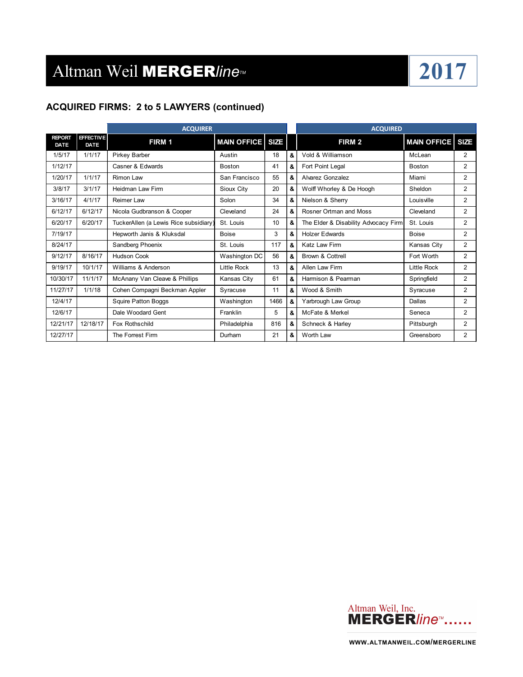

### **ACQUIRED FIRMS: 2 to 5 LAWYERS (continued)**

|             | <b>ACQUIRER</b>                       |                    |      |   | <b>ACQUIRED</b>                      |                    |                |
|-------------|---------------------------------------|--------------------|------|---|--------------------------------------|--------------------|----------------|
| <b>DATE</b> | FIRM 1                                |                    |      |   | FIRM 2                               | <b>MAIN OFFICE</b> | <b>SIZE</b>    |
| 1/1/17      | Pirkey Barber                         | Austin             | 18   | & | Vold & Williamson                    | McLean             | $\overline{2}$ |
|             | Casner & Edwards                      | Boston             | 41   | & | Fort Point Legal                     | Boston             | 2              |
| 1/1/17      | <b>Rimon Law</b>                      | San Francisco      | 55   | & | Alvarez Gonzalez                     | Miami              | $\overline{2}$ |
| 3/1/17      | Heidman Law Firm                      | Sioux City         | 20   | & | Wolff Whorley & De Hoogh             | Sheldon            | $\overline{2}$ |
| 4/1/17      | Reimer Law                            | Solon              | 34   | & | Nielson & Sherry                     | Louisville         | 2              |
| 6/12/17     | Nicola Gudbranson & Cooper            | Cleveland          | 24   | & | Rosner Ortman and Moss               | Cleveland          | $\overline{2}$ |
| 6/20/17     | TuckerAllen (a Lewis Rice subsidiary) | St. Louis          | 10   | & | The Elder & Disability Advocacy Firm | St. Louis          | $\overline{2}$ |
|             | Hepworth Janis & Kluksdal             | <b>Boise</b>       | 3    | & | <b>Holzer Edwards</b>                | <b>Boise</b>       | $\overline{2}$ |
|             | Sandberg Phoenix                      | St. Louis          | 117  | & | <b>Katz Law Firm</b>                 | Kansas City        | $\overline{2}$ |
| 8/16/17     | <b>Hudson Cook</b>                    | Washington DC      | 56   | & | Brown & Cottrell                     | Fort Worth         | $\overline{2}$ |
| 10/1/17     | Williams & Anderson                   | <b>Little Rock</b> | 13   | & | Allen Law Firm                       | <b>Little Rock</b> | $\overline{2}$ |
| 11/1/17     | McAnany Van Cleave & Phillips         | Kansas City        | 61   | & | Harmison & Pearman                   | Springfield        | 2              |
| 1/1/18      | Cohen Compagni Beckman Appler         | Syracuse           | 11   | & | Wood & Smith                         | Syracuse           | 2              |
|             | Squire Patton Boggs                   | Washington         | 1466 | & | Yarbrough Law Group                  | Dallas             | 2              |
|             | Dale Woodard Gent                     | Franklin           | 5    | & | McFate & Merkel                      | Seneca             | $\overline{2}$ |
| 12/18/17    | Fox Rothschild                        | Philadelphia       | 816  | & | Schneck & Harley                     | Pittsburgh         | $\overline{2}$ |
|             | The Forrest Firm                      | Durham             | 21   | & | Worth Law                            | Greensboro         | 2              |
|             |                                       | <b>EFFECTIVE</b>   |      |   | <b>MAIN OFFICE   SIZE</b>            |                    |                |

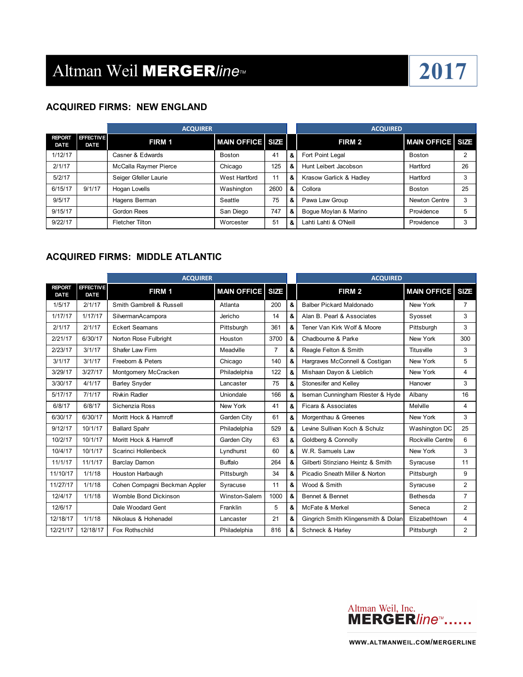

### **ACQUIRED FIRMS: NEW ENGLAND**

|                       |                          | <b>ACQUIRER</b>        |                         |      |   | <b>ACQUIRED</b>         |                  |    |
|-----------------------|--------------------------|------------------------|-------------------------|------|---|-------------------------|------------------|----|
| <b>REPORT</b><br>DATE | <b>EFFECTIVE</b><br>DATE | <b>FIRM 1</b>          | <b>MAIN OFFICE SIZE</b> |      |   | FIRM 2                  | MAIN OFFICE SIZE |    |
| 1/12/17               |                          | Casner & Edwards       | <b>Boston</b>           | 41   | & | Fort Point Legal        | <b>Boston</b>    | ົ  |
| 2/1/17                |                          | McCalla Raymer Pierce  | Chicago                 | 125  | & | Hunt Leibert Jacobson   | Hartford         | 26 |
| 5/2/17                |                          | Seiger Gfeller Laurie  | West Hartford           | 11   | & | Krasow Garlick & Hadley | Hartford         | 3  |
| 6/15/17               | 9/1/17                   | Hogan Lovells          | Washington              | 2600 | & | Collora                 | <b>Boston</b>    | 25 |
| 9/5/17                |                          | Hagens Berman          | Seattle                 | 75   | & | Pawa Law Group          | Newton Centre    | 3  |
| 9/15/17               |                          | Gordon Rees            | San Diego               | 747  | & | Boque Moylan & Marino   | Providence       |    |
| 9/22/17               |                          | <b>Fletcher Tilton</b> | Worcester               | 51   | & | Lahti Lahti & O'Neill   | Providence       | 3  |

### **ACQUIRED FIRMS: MIDDLE ATLANTIC**

|                              |                                 | <b>ACQUIRER</b>               |                    |                |   | <b>ACQUIRED</b>                     |                    |                |
|------------------------------|---------------------------------|-------------------------------|--------------------|----------------|---|-------------------------------------|--------------------|----------------|
| <b>REPORT</b><br><b>DATE</b> | <b>EFFECTIVE</b><br><b>DATE</b> | FIRM 1                        | <b>MAIN OFFICE</b> | <b>SIZE</b>    |   | FIRM <sub>2</sub>                   | <b>MAIN OFFICE</b> | <b>SIZE</b>    |
| 1/5/17                       | 2/1/17                          | Smith Gambrell & Russell      | Atlanta            | 200            | & | <b>Balber Pickard Maldonado</b>     | New York           | $\overline{7}$ |
| 1/17/17                      | 1/17/17                         | SilvermanAcampora             | Jericho            | 14             | & | Alan B. Pearl & Associates          | Syosset            | 3              |
| 2/1/17                       | 2/1/17                          | <b>Eckert Seamans</b>         | Pittsburgh         | 361            | & | Tener Van Kirk Wolf & Moore         | Pittsburgh         | 3              |
| 2/21/17                      | 6/30/17                         | Norton Rose Fulbright         | Houston            | 3700           | & | Chadbourne & Parke                  | New York           | 300            |
| 2/23/17                      | 3/1/17                          | Shafer Law Firm               | Meadville          | $\overline{7}$ | & | Reagle Felton & Smith               | Titusville         | 3              |
| 3/1/17                       | 3/1/17                          | Freeborn & Peters             | Chicago            | 140            | & | Hargraves McConnell & Costigan      | New York           | 5              |
| 3/29/17                      | 3/27/17                         | Montgomery McCracken          | Philadelphia       | 122            | & | Mishaan Dayon & Lieblich            | New York           | 4              |
| 3/30/17                      | 4/1/17                          | <b>Barley Snyder</b>          | Lancaster          | 75             | & | Stonesifer and Kelley               | Hanover            | 3              |
| 5/17/17                      | 7/1/17                          | <b>Rivkin Radler</b>          | Uniondale          | 166            | & | Iseman Cunningham Riester & Hyde    | Albany             | 16             |
| 6/8/17                       | 6/8/17                          | Sichenzia Ross                | New York           | 41             | & | Ficara & Associates                 | Melville           | 4              |
| 6/30/17                      | 6/30/17                         | Moritt Hock & Hamroff         | Garden City        | 61             | & | Morgenthau & Greenes                | New York           | 3              |
| 9/12/17                      | 10/1/17                         | <b>Ballard Spahr</b>          | Philadelphia       | 529            | & | Levine Sullivan Koch & Schulz       | Washington DC      | 25             |
| 10/2/17                      | 10/1/17                         | Moritt Hock & Hamroff         | Garden City        | 63             | & | Goldberg & Connolly                 | Rockville Centre   | 6              |
| 10/4/17                      | 10/1/17                         | Scarinci Hollenbeck           | Lyndhurst          | 60             | & | W.R. Samuels Law                    | New York           | 3              |
| 11/1/17                      | 11/1/17                         | <b>Barclay Damon</b>          | <b>Buffalo</b>     | 264            | & | Gilberti Stinziano Heintz & Smith   | Syracuse           | 11             |
| 11/10/17                     | 1/1/18                          | Houston Harbaugh              | Pittsburgh         | 34             | & | Picadio Sneath Miller & Norton      | Pittsburgh         | 9              |
| 11/27/17                     | 1/1/18                          | Cohen Compagni Beckman Appler | Syracuse           | 11             | & | Wood & Smith                        | Syracuse           | $\overline{2}$ |
| 12/4/17                      | 1/1/18                          | Womble Bond Dickinson         | Winston-Salem      | 1000           | & | Bennet & Bennet                     | Bethesda           | $\overline{7}$ |
| 12/6/17                      |                                 | Dale Woodard Gent             | Franklin           | 5              | & | McFate & Merkel                     | Seneca             | $\overline{2}$ |
| 12/18/17                     | 1/1/18                          | Nikolaus & Hohenadel          | Lancaster          | 21             | & | Gingrich Smith Klingensmith & Dolan | Elizabethtown      | 4              |
| 12/21/17                     | 12/18/17                        | Fox Rothschild                | Philadelphia       | 816            | & | Schneck & Harley                    | Pittsburgh         | $\overline{2}$ |

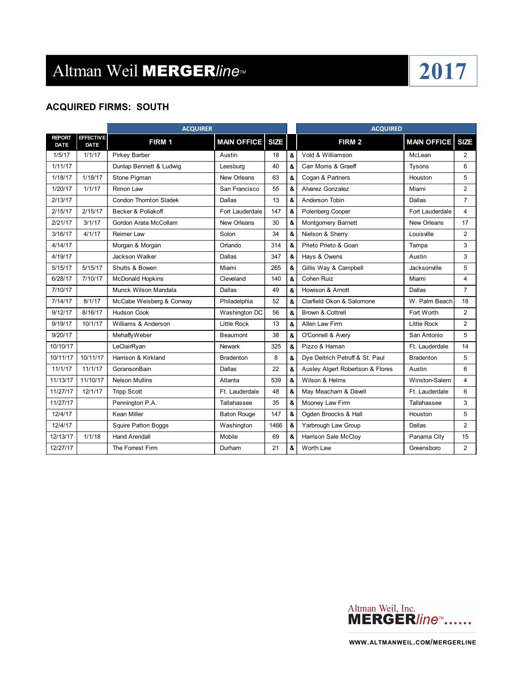### **ACQUIRED FIRMS: SOUTH**

|                              |                                 | <b>ACQUIRER</b>               |                    |             |   | <b>ACQUIRED</b>                  |                         |                |
|------------------------------|---------------------------------|-------------------------------|--------------------|-------------|---|----------------------------------|-------------------------|----------------|
| <b>REPORT</b><br><b>DATE</b> | <b>EFFECTIVE</b><br><b>DATE</b> | FIRM 1                        | <b>MAIN OFFICE</b> | <b>SIZE</b> |   | FIRM <sub>2</sub>                | <b>MAIN OFFICE SIZE</b> |                |
| 1/5/17                       | 1/1/17                          | <b>Pirkey Barber</b>          | Austin             | 18          | & | Vold & Williamson                | McLean                  | 2              |
| 1/11/17                      |                                 | Dunlap Bennett & Ludwig       | Leesburg           | 40          | & | Carr Morris & Graeff             | <b>Tysons</b>           | 6              |
| 1/18/17                      | 1/18/17                         | Stone Pigman                  | New Orleans        | 63          | & | Cogan & Partners                 | Houston                 | 5              |
| 1/20/17                      | 1/1/17                          | <b>Rimon Law</b>              | San Francisco      | 55          | & | Alvarez Gonzalez                 | Miami                   | $\overline{2}$ |
| 2/13/17                      |                                 | <b>Condon Thornton Sladek</b> | Dallas             | 13          | & | Anderson Tobin                   | Dallas                  | 7              |
| 2/15/17                      | 2/15/17                         | Becker & Poliakoff            | Fort Lauderdale    | 147         | & | Polenberg Cooper                 | Fort Lauderdale         | 4              |
| 2/21/17                      | 3/1/17                          | Gordon Arata McCollam         | New Orleans        | 30          | & | Montgomery Barnett               | New Orleans             | 17             |
| 3/16/17                      | 4/1/17                          | Reimer Law                    | Solon              | 34          | & | Nielson & Sherry                 | Louisville              | $\overline{2}$ |
| 4/14/17                      |                                 | Morgan & Morgan               | Orlando            | 314         | 8 | Prieto Prieto & Goan             | Tampa                   | 3              |
| 4/19/17                      |                                 | Jackson Walker                | Dallas             | 347         | & | Hays & Owens                     | Austin                  | 3              |
| 5/15/17                      | 5/15/17                         | Shutts & Bowen                | Miami              | 265         | & | Gillis Way & Campbell            | Jacksonville            | 5              |
| 6/28/17                      | 7/10/17                         | <b>McDonald Hopkins</b>       | Cleveland          | 140         | & | Cohen Ruiz                       | Miami                   | 4              |
| 7/10/17                      |                                 | Munck Wilson Mandala          | Dallas             | 49          | & | Howison & Arnott                 | Dallas                  | $\overline{7}$ |
| 7/14/17                      | 8/1/17                          | McCabe Weisberg & Conway      | Philadelphia       | 52          | & | Clarfield Okon & Salomone        | W. Palm Beach           | 18             |
| 9/12/17                      | 8/16/17                         | <b>Hudson Cook</b>            | Washington DC      | 56          | & | Brown & Cottrell                 | Fort Worth              | $\overline{2}$ |
| 9/19/17                      | 10/1/17                         | Williams & Anderson           | <b>Little Rock</b> | 13          | & | Allen Law Firm                   | <b>Little Rock</b>      | $\overline{2}$ |
| 9/20/17                      |                                 | MehaffyWeber                  | <b>Beaumont</b>    | 38          | & | O'Connell & Avery                | San Antonio             | 5              |
| 10/10/17                     |                                 | LeClairRyan                   | <b>Newark</b>      | 325         | & | Pizzo & Haman                    | Ft. Lauderdale          | 14             |
| 10/11/17                     | 10/11/17                        | Harrison & Kirkland           | <b>Bradenton</b>   | 8           | & | Dye Deitrich Petruff & St. Paul  | <b>Bradenton</b>        | 5              |
| 11/1/17                      | 11/1/17                         | GoransonBain                  | Dallas             | 22          | & | Ausley Algert Robertson & Flores | Austin                  | 6              |
| 11/13/17                     | 11/10/17                        | <b>Nelson Mullins</b>         | Atlanta            | 539         | & | Wilson & Helms                   | Winston-Salem           | 4              |
| 11/27/17                     | 12/1/17                         | <b>Tripp Scott</b>            | Ft. Lauderdale     | 48          | & | May Meacham & Davell             | Ft. Lauderdale          | 6              |
| 11/27/17                     |                                 | Pennington P.A.               | Tallahassee        | 35          | & | Mooney Law Firm                  | Tallahassee             | 3              |
| 12/4/17                      |                                 | Kean Miller                   | <b>Baton Rouge</b> | 147         | & | Ogden Broocks & Hall             | Houston                 | 5              |
| 12/4/17                      |                                 | <b>Squire Patton Boggs</b>    | Washington         | 1466        | & | Yarbrough Law Group              | Dallas                  | $\overline{2}$ |
| 12/13/17                     | 1/1/18                          | <b>Hand Arendall</b>          | Mobile             | 69          | & | Harrison Sale McCloy             | Panama City             | 15             |
| 12/27/17                     |                                 | The Forrest Firm              | Durham             | 21          | & | Worth Law                        | Greensboro              | $\overline{2}$ |

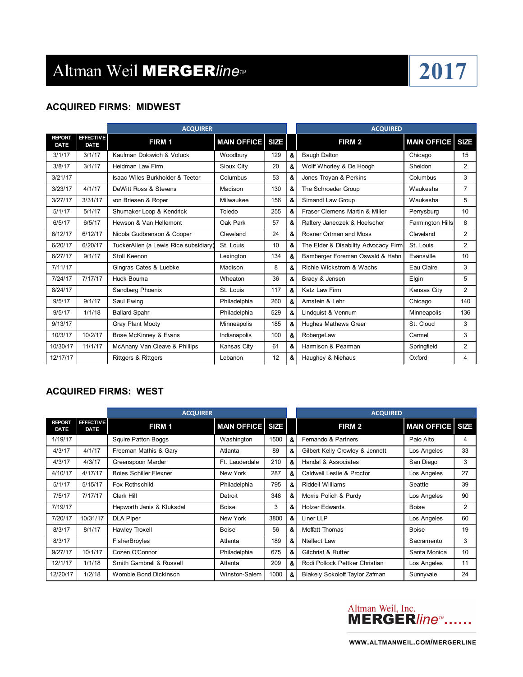### **ACQUIRED FIRMS: MIDWEST**

|                              |                                 | <b>ACQUIRER</b>                       |                         |     |    | <b>ACQUIRED</b>                      |                    |                |
|------------------------------|---------------------------------|---------------------------------------|-------------------------|-----|----|--------------------------------------|--------------------|----------------|
| <b>REPORT</b><br><b>DATE</b> | <b>EFFECTIVE</b><br><b>DATE</b> | FIRM 1                                | <b>MAIN OFFICE SIZE</b> |     |    | FIRM <sub>2</sub>                    | <b>MAIN OFFICE</b> | <b>SIZE</b>    |
| 3/1/17                       | 3/1/17                          | Kaufman Dolowich & Voluck             | Woodbury                | 129 | &  | <b>Baugh Dalton</b>                  | Chicago            | 15             |
| 3/8/17                       | 3/1/17                          | <b>Heidman Law Firm</b>               | Sioux City              | 20  | &  | Wolff Whorley & De Hoogh             | Sheldon            | $\overline{2}$ |
| 3/21/17                      |                                 | Isaac Wiles Burkholder & Teetor       | Columbus                | 53  | &  | Jones Troyan & Perkins               | Columbus           | 3              |
| 3/23/17                      | 4/1/17                          | DeWitt Ross & Stevens                 | Madison                 | 130 | &  | The Schroeder Group                  | Waukesha           | $\overline{7}$ |
| 3/27/17                      | 3/31/17                         | von Briesen & Roper                   | Milwaukee               | 156 | &  | Simandl Law Group                    | Waukesha           | 5              |
| 5/1/17                       | 5/1/17                          | Shumaker Loop & Kendrick              | Toledo                  | 255 | &  | Fraser Clemens Martin & Miller       | Perrysburg         | 10             |
| 6/5/17                       | 6/5/17                          | Hewson & Van Hellemont                | Oak Park                | 57  | &  | Raftery Janeczek & Hoelscher         | Farmington Hills   | 8              |
| 6/12/17                      | 6/12/17                         | Nicola Gudbranson & Cooper            | Cleveland               | 24  | &  | Rosner Ortman and Moss               | Cleveland          | $\overline{2}$ |
| 6/20/17                      | 6/20/17                         | TuckerAllen (a Lewis Rice subsidiary) | St. Louis               | 10  | &  | The Elder & Disability Advocacy Firm | St. Louis          | 2              |
| 6/27/17                      | 9/1/17                          | Stoll Keenon                          | Lexington               | 134 | &  | Bamberger Foreman Oswald & Hahn      | Evansville         | 10             |
| 7/11/17                      |                                 | Gingras Cates & Luebke                | Madison                 | 8   | &  | Richie Wickstrom & Wachs             | Eau Claire         | 3              |
| 7/24/17                      | 7/17/17                         | Huck Bouma                            | Wheaton                 | 36  | &  | Brady & Jensen                       | Elgin              | 5              |
| 8/24/17                      |                                 | Sandberg Phoenix                      | St. Louis               | 117 | &  | Katz Law Firm                        | Kansas City        | $\overline{2}$ |
| 9/5/17                       | 9/1/17                          | Saul Ewing                            | Philadelphia            | 260 | 8. | Amstein & Lehr                       | Chicago            | 140            |
| 9/5/17                       | 1/1/18                          | <b>Ballard Spahr</b>                  | Philadelphia            | 529 | &  | Lindquist & Vennum                   | Minneapolis        | 136            |
| 9/13/17                      |                                 | <b>Gray Plant Mooty</b>               | Minneapolis             | 185 | &  | <b>Hughes Mathews Greer</b>          | St. Cloud          | 3              |
| 10/3/17                      | 10/2/17                         | Bose McKinney & Evans                 | Indianapolis            | 100 | &  | RobergeLaw                           | Carmel             | 3              |
| 10/30/17                     | 11/1/17                         | McAnany Van Cleave & Phillips         | Kansas City             | 61  | 8. | Harmison & Pearman                   | Springfield        | $\overline{2}$ |
| 12/17/17                     |                                 | <b>Rittgers &amp; Rittgers</b>        | Lebanon                 | 12  | &  | Haughey & Niehaus                    | Oxford             | 4              |

### **ACQUIRED FIRMS: WEST**

|                       |                          | <b>ACQUIRER</b>               |                         |      |   | <b>ACQUIRED</b>                       |                         |                |
|-----------------------|--------------------------|-------------------------------|-------------------------|------|---|---------------------------------------|-------------------------|----------------|
| <b>REPORT</b><br>DATE | <b>EFFECTIVE</b><br>DATE | FIRM 1                        | <b>MAIN OFFICE SIZE</b> |      |   | FIRM <sub>2</sub>                     | <b>MAIN OFFICE SIZE</b> |                |
| 1/19/17               |                          | <b>Squire Patton Boggs</b>    | Washington              | 1500 | & | Fernando & Partners                   | Palo Alto               | 4              |
| 4/3/17                | 4/1/17                   | Freeman Mathis & Gary         | Atlanta                 | 89   | & | Gilbert Kelly Crowley & Jennett       | Los Angeles             | 33             |
| 4/3/17                | 4/3/17                   | Greenspoon Marder             | Ft. Lauderdale          | 210  | & | Handal & Associates                   | San Diego               | 3              |
| 4/10/17               | 4/17/17                  | <b>Boies Schiller Flexner</b> | New York                | 287  | & | Caldwell Leslie & Proctor             | Los Angeles             | 27             |
| 5/1/17                | 5/15/17                  | Fox Rothschild                | Philadelphia            | 795  | & | <b>Riddell Williams</b>               | Seattle                 | 39             |
| 7/5/17                | 7/17/17                  | Clark Hill                    | Detroit                 | 348  | & | Morris Polich & Purdy                 | Los Angeles             | 90             |
| 7/19/17               |                          | Hepworth Janis & Kluksdal     | <b>Boise</b>            | 3    | & | <b>Holzer Edwards</b>                 | <b>Boise</b>            | $\overline{2}$ |
| 7/20/17               | 10/31/17                 | <b>DLA Piper</b>              | New York                | 3800 | & | Liner LLP                             | Los Angeles             | 60             |
| 8/3/17                | 8/1/17                   | Hawley Troxell                | <b>Boise</b>            | 56   | & | <b>Moffatt Thomas</b>                 | <b>Boise</b>            | 19             |
| 8/3/17                |                          | FisherBroyles                 | Atlanta                 | 189  | & | Ntellect Law                          | Sacramento              | 3              |
| 9/27/17               | 10/1/17                  | Cozen O'Connor                | Philadelphia            | 675  | & | Gilchrist & Rutter                    | Santa Monica            | 10             |
| 12/1/17               | 1/1/18                   | Smith Gambrell & Russell      | Atlanta                 | 209  | & | Rodi Pollock Pettker Christian        | Los Angeles             | 11             |
| 12/20/17              | 1/2/18                   | Womble Bond Dickinson         | Winston-Salem           | 1000 | & | <b>Blakely Sokoloff Taylor Zafman</b> | Sunnyvale               | 24             |

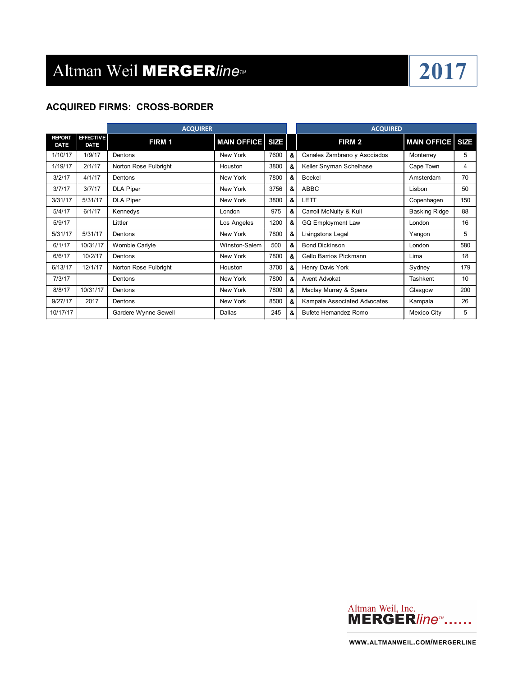

### **ACQUIRED FIRMS: CROSS-BORDER**

|                              |                                 | <b>ACQUIRER</b>       |                    |             |   | <b>ACQUIRED</b>              |                         |     |
|------------------------------|---------------------------------|-----------------------|--------------------|-------------|---|------------------------------|-------------------------|-----|
| <b>REPORT</b><br><b>DATE</b> | <b>EFFECTIVE</b><br><b>DATE</b> | FIRM 1                | <b>MAIN OFFICE</b> | <b>SIZE</b> |   | FIRM <sub>2</sub>            | <b>MAIN OFFICE SIZE</b> |     |
| 1/10/17                      | 1/9/17                          | Dentons               | New York           | 7600        | & | Canales Zambrano y Asociados | Monterrey               | 5   |
| 1/19/17                      | 2/1/17                          | Norton Rose Fulbright | Houston            | 3800        | & | Keller Snyman Schelhase      | Cape Town               | 4   |
| 3/2/17                       | 4/1/17                          | Dentons               | New York           | 7800        | & | <b>Boekel</b>                | Amsterdam               | 70  |
| 3/7/17                       | 3/7/17                          | <b>DLA Piper</b>      | New York           | 3756        | & | ABBC                         | Lisbon                  | 50  |
| 3/31/17                      | 5/31/17                         | <b>DLA Piper</b>      | New York           | 3800        | & | <b>LETT</b>                  | Copenhagen              | 150 |
| 5/4/17                       | 6/1/17                          | Kennedys              | London             | 975         | & | Carroll McNulty & Kull       | <b>Basking Ridge</b>    | 88  |
| 5/9/17                       |                                 | Littler               | Los Angeles        | 1200        | & | <b>GQ Employment Law</b>     | London                  | 16  |
| 5/31/17                      | 5/31/17                         | Dentons               | New York           | 7800        | & | Livingstons Legal            | Yangon                  | 5   |
| 6/1/17                       | 10/31/17                        | Womble Carlyle        | Winston-Salem      | 500         | & | <b>Bond Dickinson</b>        | London                  | 580 |
| 6/6/17                       | 10/2/17                         | Dentons               | New York           | 7800        | & | Gallo Barrios Pickmann       | Lima                    | 18  |
| 6/13/17                      | 12/1/17                         | Norton Rose Fulbright | Houston            | 3700        | & | Henry Davis York             | Sydney                  | 179 |
| 7/3/17                       |                                 | Dentons               | New York           | 7800        | & | Avent Advokat                | Tashkent                | 10  |
| 8/8/17                       | 10/31/17                        | Dentons               | New York           | 7800        | & | Maclay Murray & Spens        | Glasgow                 | 200 |
| 9/27/17                      | 2017                            | Dentons               | New York           | 8500        | & | Kampala Associated Advocates | Kampala                 | 26  |
| 10/17/17                     |                                 | Gardere Wynne Sewell  | <b>Dallas</b>      | 245         | & | <b>Bufete Hernandez Romo</b> | Mexico City             | 5   |

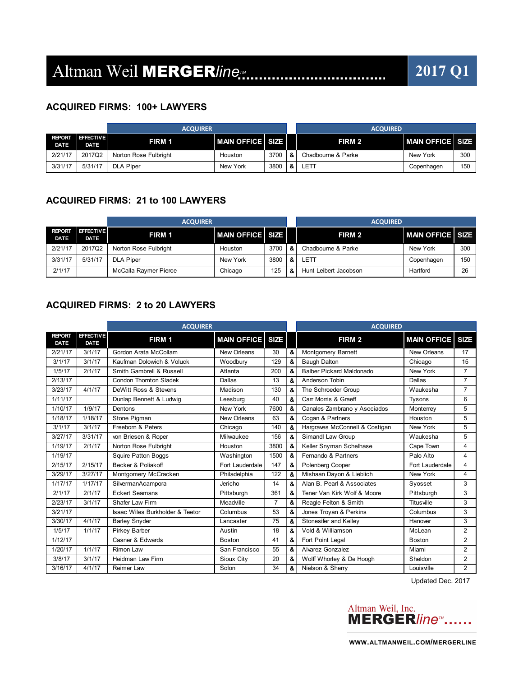## Altman Weil **MERGER**/ine<sub>*I'I*</sub> **2017 Q1**

#### **ACQUIRED FIRMS: 100+ LAWYERS**

|                              | <b>ACQUIRER</b>          |                       |                          |      | <b>ACQUIRED</b> |                    |                            |     |
|------------------------------|--------------------------|-----------------------|--------------------------|------|-----------------|--------------------|----------------------------|-----|
| <b>REPORT</b><br><b>DATE</b> | <b>EFFECTIVE</b><br>DATE | FIRM 1                | <b>IMAIN OFFICE SIZE</b> |      |                 | FIRM 2             | <b>IMAIN OFFICE I SIZE</b> |     |
| 2/21/17                      | 2017Q2                   | Norton Rose Fulbright | Houston                  | 3700 | &               | Chadbourne & Parke | New York                   | 300 |
| 3/31/17                      | 5/31/17                  | <b>DLA Piper</b>      | New York                 | 3800 | &               | LETT               | Copenhagen                 | 150 |

#### **ACQUIRED FIRMS: 21 to 100 LAWYERS**

|                              |                                 | <b>ACQUIRER</b>       |                               |      |    | <b>ACQUIRED</b>       |                        |     |  |
|------------------------------|---------------------------------|-----------------------|-------------------------------|------|----|-----------------------|------------------------|-----|--|
| <b>REPORT</b><br><b>DATE</b> | <b>EFFECTIVE</b><br><b>DATE</b> | FIRM 1                | <b>I MAIN OFFICE I SIZE I</b> |      |    | FIRM 2                | <b>MAN OFFICE SIZE</b> |     |  |
| 2/21/17                      | 2017Q2                          | Norton Rose Fulbright | Houston                       | 3700 | -8 | Chadbourne & Parke    | New York               | 300 |  |
| 3/31/17                      | 5/31/17                         | <b>DLA Piper</b>      | New York                      | 3800 | &  | LETT                  | Copenhagen             | 150 |  |
| 2/1/17                       |                                 | McCalla Raymer Pierce | Chicago                       | 125  | &  | Hunt Leibert Jacobson | Hartford               | 26  |  |

### **ACQUIRED FIRMS: 2 to 20 LAWYERS**

|                              |                                 | <b>ACQUIRER</b>                 |                         |                |   | <b>ACQUIRED</b>                 |                         |                |
|------------------------------|---------------------------------|---------------------------------|-------------------------|----------------|---|---------------------------------|-------------------------|----------------|
| <b>REPORT</b><br><b>DATE</b> | <b>EFFECTIVE</b><br><b>DATE</b> | FIRM 1                          | <b>MAIN OFFICE SIZE</b> |                |   | FIRM <sub>2</sub>               | <b>MAIN OFFICE SIZE</b> |                |
| 2/21/17                      | 3/1/17                          | Gordon Arata McCollam           | New Orleans             | 30             | & | Montgomery Barnett              | New Orleans             | 17             |
| 3/1/17                       | 3/1/17                          | Kaufman Dolowich & Voluck       | Woodbury                | 129            | & | <b>Baugh Dalton</b>             | Chicago                 | 15             |
| 1/5/17                       | 2/1/17                          | Smith Gambrell & Russell        | Atlanta                 | 200            | & | <b>Balber Pickard Maldonado</b> | New York                | $\overline{7}$ |
| 2/13/17                      |                                 | <b>Condon Thornton Sladek</b>   | Dallas                  | 13             | & | Anderson Tobin                  | Dallas                  | $\overline{7}$ |
| 3/23/17                      | 4/1/17                          | DeWitt Ross & Stevens           | Madison                 | 130            | & | The Schroeder Group             | Waukesha                | $\overline{7}$ |
| 1/11/17                      |                                 | Dunlap Bennett & Ludwig         | Leesburg                | 40             | & | Carr Morris & Graeff            | <b>Tysons</b>           | 6              |
| 1/10/17                      | 1/9/17                          | Dentons                         | New York                | 7600           | & | Canales Zambrano y Asociados    | Monterrey               | 5              |
| 1/18/17                      | 1/18/17                         | Stone Pigman                    | New Orleans             | 63             | & | Cogan & Partners                | Houston                 | 5              |
| 3/1/17                       | 3/1/17                          | Freeborn & Peters               | Chicago                 | 140            | & | Hargraves McConnell & Costigan  | New York                | 5              |
| 3/27/17                      | 3/31/17                         | von Briesen & Roper             | Milwaukee               | 156            | & | Simandl Law Group               | Waukesha                | 5              |
| 1/19/17                      | 2/1/17                          | Norton Rose Fulbright           | Houston                 | 3800           | & | Keller Snyman Schelhase         | Cape Town               | 4              |
| 1/19/17                      |                                 | Squire Patton Boggs             | Washington              | 1500           | & | Fernando & Partners             | Palo Alto               | 4              |
| 2/15/17                      | 2/15/17                         | Becker & Poliakoff              | Fort Lauderdale         | 147            | & | Polenberg Cooper                | Fort Lauderdale         | 4              |
| 3/29/17                      | 3/27/17                         | Montgomery McCracken            | Philadelphia            | 122            | & | Mishaan Dayon & Lieblich        | New York                | 4              |
| 1/17/17                      | 1/17/17                         | SilvermanAcampora               | Jericho                 | 14             | & | Alan B. Pearl & Associates      | Syosset                 | 3              |
| 2/1/17                       | 2/1/17                          | <b>Eckert Seamans</b>           | Pittsburgh              | 361            | & | Tener Van Kirk Wolf & Moore     | Pittsburgh              | 3              |
| 2/23/17                      | 3/1/17                          | Shafer Law Firm                 | Meadville               | $\overline{7}$ | & | Reagle Felton & Smith           | <b>Titusville</b>       | 3              |
| 3/21/17                      |                                 | Isaac Wiles Burkholder & Teetor | Columbus                | 53             | & | Jones Troyan & Perkins          | Columbus                | 3              |
| 3/30/17                      | 4/1/17                          | <b>Barley Snyder</b>            | Lancaster               | 75             | & | Stonesifer and Kelley           | Hanover                 | 3              |
| 1/5/17                       | 1/1/17                          | <b>Pirkey Barber</b>            | Austin                  | 18             | & | Vold & Williamson               | McLean                  | $\overline{2}$ |
| 1/12/17                      |                                 | Casner & Edwards                | Boston                  | 41             | & | Fort Point Legal                | <b>Boston</b>           | $\overline{2}$ |
| 1/20/17                      | 1/1/17                          | <b>Rimon Law</b>                | San Francisco           | 55             | & | Alvarez Gonzalez                | Miami                   | $\overline{2}$ |
| 3/8/17                       | 3/1/17                          | <b>Heidman Law Firm</b>         | Sioux City              | 20             | & | Wolff Whorley & De Hoogh        | Sheldon                 | $\overline{2}$ |
| 3/16/17                      | 4/1/17                          | <b>Reimer Law</b>               | Solon                   | 34             | & | Nielson & Sherry                | Louisville              | $\overline{2}$ |

Updated Dec. 2017

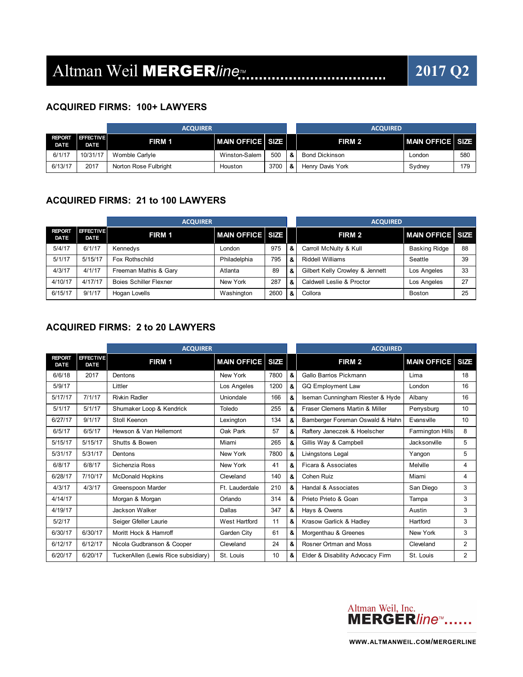### **ACQUIRED FIRMS: 100+ LAWYERS**

| <b>ACQUIRER</b>              |                                 |                       |                          | <b>ACQUIRED</b> |   |                       |                  |     |
|------------------------------|---------------------------------|-----------------------|--------------------------|-----------------|---|-----------------------|------------------|-----|
| <b>REPORT</b><br><b>DATE</b> | <b>EFFECTIVE</b><br><b>DATE</b> | FIRM 1                | <b>IMAIN OFFICE SIZE</b> |                 |   | FIRM 2                | MAIN OFFICE SIZE |     |
| 6/1/17                       | 10/31/17                        | Womble Carlyle        | Winston-Salem            | 500             | & | <b>Bond Dickinson</b> | London           | 580 |
| 6/13/17                      | 2017                            | Norton Rose Fulbright | Houston                  | 3700            | & | Henry Davis York      | Sydney           | 179 |

### **ACQUIRED FIRMS: 21 to 100 LAWYERS**

|                              |                                 | <b>ACQUIRER</b>               |                       |      |   | <b>ACQUIRED</b>                 |                        |    |  |
|------------------------------|---------------------------------|-------------------------------|-----------------------|------|---|---------------------------------|------------------------|----|--|
| <b>REPORT</b><br><b>DATE</b> | <b>EFFECTIVE</b><br><b>DATE</b> | FIRM 1                        | ∣MAIN OFFICE I SIZE I |      |   | FIRM 2                          | <b>MAN OFFICE SIZE</b> |    |  |
| 5/4/17                       | 6/1/17                          | Kennedys                      | London                | 975  | & | Carroll McNulty & Kull          | <b>Basking Ridge</b>   | 88 |  |
| 5/1/17                       | 5/15/17                         | Fox Rothschild                | Philadelphia          | 795  | & | <b>Riddell Williams</b>         | Seattle                | 39 |  |
| 4/3/17                       | 4/1/17                          | Freeman Mathis & Gary         | Atlanta               | 89   | & | Gilbert Kelly Crowley & Jennett | Los Angeles            | 33 |  |
| 4/10/17                      | 4/17/17                         | <b>Boies Schiller Flexner</b> | New York              | 287  | & | Caldwell Leslie & Proctor       | Los Angeles            | 27 |  |
| 6/15/17                      | 9/1/17                          | Hogan Lovells                 | Washington            | 2600 | & | Collora                         | Boston                 | 25 |  |

### **ACQUIRED FIRMS: 2 to 20 LAWYERS**

|                              |                          | <b>ACQUIRER</b>                     |                  |      |    | <b>ACQUIRED</b>                  |                         |                |
|------------------------------|--------------------------|-------------------------------------|------------------|------|----|----------------------------------|-------------------------|----------------|
| <b>REPORT</b><br><b>DATE</b> | <b>EFFECTIVE</b><br>DATE | FIRM 1                              | MAIN OFFICE SIZE |      |    | FIRM 2                           | <b>MAN OFFICE SIZE</b>  |                |
| 6/6/18                       | 2017                     | Dentons                             | New York         | 7800 | &  | Gallo Barrios Pickmann           | Lima                    | 18             |
| 5/9/17                       |                          | Littler                             | Los Angeles      | 1200 | &  | <b>GQ Employment Law</b>         | London                  | 16             |
| 5/17/17                      | 7/1/17                   | <b>Rivkin Radler</b>                | Uniondale        | 166  | &  | Iseman Cunningham Riester & Hyde | Albany                  | 16             |
| 5/1/17                       | 5/1/17                   | Shumaker Loop & Kendrick            | Toledo           | 255  | 8. | Fraser Clemens Martin & Miller   | Perrysburg              | 10             |
| 6/27/17                      | 9/1/17                   | Stoll Keenon                        | Lexington        | 134  | &  | Bamberger Foreman Oswald & Hahn  | Evansville              | 10             |
| 6/5/17                       | 6/5/17                   | Hewson & Van Hellemont              | Oak Park         | 57   | &  | Raftery Janeczek & Hoelscher     | <b>Farmington Hills</b> | 8              |
| 5/15/17                      | 5/15/17                  | Shutts & Bowen                      | Miami            | 265  | &  | Gillis Way & Campbell            | Jacksonville            | 5              |
| 5/31/17                      | 5/31/17                  | Dentons                             | New York         | 7800 | &  | Livingstons Legal                | Yangon                  | 5              |
| 6/8/17                       | 6/8/17                   | Sichenzia Ross                      | New York         | 41   | 8. | Ficara & Associates              | Melville                | 4              |
| 6/28/17                      | 7/10/17                  | <b>McDonald Hopkins</b>             | Cleveland        | 140  | &  | Cohen Ruiz                       | Miami                   | 4              |
| 4/3/17                       | 4/3/17                   | Greenspoon Marder                   | Ft. Lauderdale   | 210  | &  | Handal & Associates              | San Diego               | 3              |
| 4/14/17                      |                          | Morgan & Morgan                     | Orlando          | 314  | &  | Prieto Prieto & Goan             | Tampa                   | 3              |
| 4/19/17                      |                          | Jackson Walker                      | Dallas           | 347  | &  | Hays & Owens                     | Austin                  | 3              |
| 5/2/17                       |                          | Seiger Gfeller Laurie               | West Hartford    | 11   | &  | Krasow Garlick & Hadley          | Hartford                | 3              |
| 6/30/17                      | 6/30/17                  | Moritt Hock & Hamroff               | Garden City      | 61   | &  | Morgenthau & Greenes             | New York                | 3              |
| 6/12/17                      | 6/12/17                  | Nicola Gudbranson & Cooper          | Cleveland        | 24   | &  | Rosner Ortman and Moss           | Cleveland               | $\overline{2}$ |
| 6/20/17                      | 6/20/17                  | TuckerAllen (Lewis Rice subsidiary) | St. Louis        | 10   | &  | Elder & Disability Advocacy Firm | St. Louis               | $\overline{2}$ |

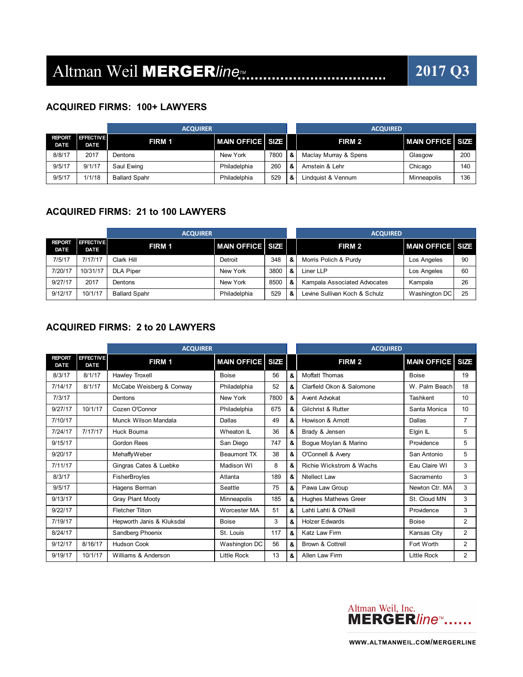### **ACQUIRED FIRMS: 100+ LAWYERS**

|                       |                                 | <b>ACQUIRER</b>      |                               |      |     | <b>ACQUIRED</b>       |                           |     |  |
|-----------------------|---------------------------------|----------------------|-------------------------------|------|-----|-----------------------|---------------------------|-----|--|
| <b>REPORT</b><br>DATE | <b>EFFECTIVE</b><br><b>DATE</b> | FIRM 1               | <b>I MAIN OFFICE I SIZE I</b> |      |     | FIRM 2                | <b>MAIN OFFICE I SIZE</b> |     |  |
| 8/8/17                | 2017                            | Dentons              | New York                      | 7800 | l & | Maclay Murray & Spens | Glasgow                   | 200 |  |
| 9/5/17                | 9/1/17                          | Saul Ewing           | Philadelphia                  | 260  |     | Arnstein & Lehr       | Chicago                   | 140 |  |
| 9/5/17                | 1/1/18                          | <b>Ballard Spahr</b> | Philadelphia                  | 529  |     | Lindauist & Vennum    | Minneapolis               | 136 |  |

### **ACQUIRED FIRMS: 21 to 100 LAWYERS**

| <b>ACQUIRER</b>                 |                      |              |      | <b>ACQUIRED</b> |                               |                           |    |
|---------------------------------|----------------------|--------------|------|-----------------|-------------------------------|---------------------------|----|
| <b>EFFECTIVE</b><br><b>DATE</b> | FIRM 1               |              |      |                 | FIRM 2                        | <b>MAIN OFFICE I SIZE</b> |    |
| 7/17/17                         | Clark Hill           | Detroit      | 348  | &               | Morris Polich & Purdy         | Los Angeles               | 90 |
| 10/31/17                        | <b>DLA Piper</b>     | New York     | 3800 | &               | Liner LLP                     | Los Angeles               | 60 |
| 2017                            | Dentons              | New York     | 8500 | &               | Kampala Associated Advocates  | Kampala                   | 26 |
| 10/1/17                         | <b>Ballard Spahr</b> | Philadelphia | 529  | &               | Levine Sullivan Koch & Schulz | Washington DC             | 25 |
|                                 |                      |              |      |                 | ∣ MAIN OFFICE I SIZE I        |                           |    |

### **ACQUIRED FIRMS: 2 to 20 LAWYERS**

|                              |                                 | <b>ACQUIRER</b>           |                         |      |   | <b>ACQUIRED</b>             |                    |                |
|------------------------------|---------------------------------|---------------------------|-------------------------|------|---|-----------------------------|--------------------|----------------|
| <b>REPORT</b><br><b>DATE</b> | <b>EFFECTIVE</b><br><b>DATE</b> | FIRM 1                    | <b>MAIN OFFICE SIZE</b> |      |   | FIRM <sub>2</sub>           | <b>MAIN OFFICE</b> | <b>SIZE</b>    |
| 8/3/17                       | 8/1/17                          | Hawley Troxell            | <b>Boise</b>            | 56   | & | Moffatt Thomas              | <b>Boise</b>       | 19             |
| 7/14/17                      | 8/1/17                          | McCabe Weisberg & Conway  | Philadelphia            | 52   | & | Clarfield Okon & Salomone   | W. Palm Beach      | 18             |
| 7/3/17                       |                                 | Dentons                   | New York                | 7800 | & | Avent Advokat               | Tashkent           | 10             |
| 9/27/17                      | 10/1/17                         | Cozen O'Connor            | Philadelphia            | 675  | & | Gilchrist & Rutter          | Santa Monica       | 10             |
| 7/10/17                      |                                 | Munck Wilson Mandala      | Dallas                  | 49   | & | Howison & Arnott            | Dallas             | $\overline{7}$ |
| 7/24/17                      | 7/17/17                         | Huck Bouma                | Wheaton IL              | 36   | & | Brady & Jensen              | Elgin IL           | 5              |
| 9/15/17                      |                                 | <b>Gordon Rees</b>        | San Diego               | 747  | & | Bogue Moylan & Marino       | Providence         | 5              |
| 9/20/17                      |                                 | MehaffyWeber              | Beaumont TX             | 38   | & | O'Connell & Avery           | San Antonio        | 5              |
| 7/11/17                      |                                 | Gingras Cates & Luebke    | Madison WI              | 8    | & | Richie Wickstrom & Wachs    | Eau Claire WI      | 3              |
| 8/3/17                       |                                 | FisherBroyles             | Atlanta                 | 189  | & | Ntellect Law                | Sacramento         | 3              |
| 9/5/17                       |                                 | Hagens Berman             | Seattle                 | 75   | & | Pawa Law Group              | Newton Ctr. MA     | 3              |
| 9/13/17                      |                                 | Gray Plant Mooty          | Minneapolis             | 185  | & | <b>Hughes Mathews Greer</b> | St. Cloud MN       | 3              |
| 9/22/17                      |                                 | <b>Fletcher Tilton</b>    | Worcester MA            | 51   | & | Lahti Lahti & O'Neill       | Providence         | 3              |
| 7/19/17                      |                                 | Hepworth Janis & Kluksdal | <b>Boise</b>            | 3    | & | <b>Holzer Edwards</b>       | <b>Boise</b>       | $\overline{2}$ |
| 8/24/17                      |                                 | Sandberg Phoenix          | St. Louis               | 117  | & | Katz Law Firm               | Kansas City        | $\overline{2}$ |
| 9/12/17                      | 8/16/17                         | <b>Hudson Cook</b>        | Washington DC           | 56   | & | Brown & Cottrell            | Fort Worth         | $\overline{2}$ |
| 9/19/17                      | 10/1/17                         | Williams & Anderson       | <b>Little Rock</b>      | 13   | & | <b>Allen Law Firm</b>       | <b>Little Rock</b> | $\overline{2}$ |